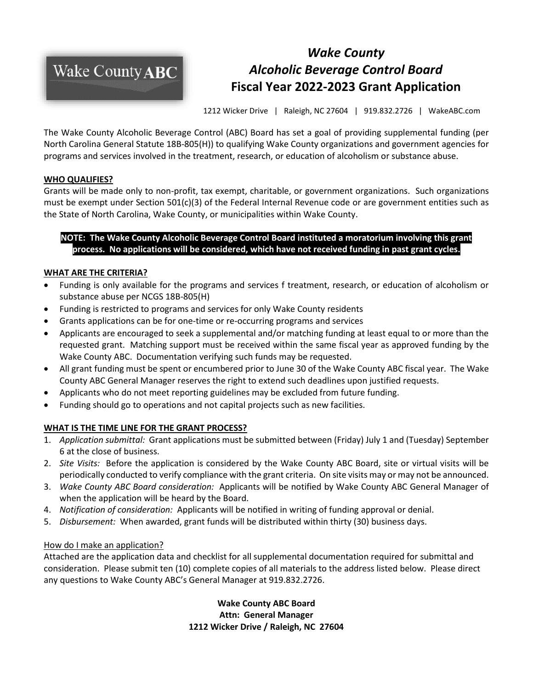

# *Wake County Alcoholic Beverage Control Board* **Fiscal Year 2022-2023 Grant Application**

1212 Wicker Drive | Raleigh, NC 27604 | 919.832.2726 | WakeABC.com

The Wake County Alcoholic Beverage Control (ABC) Board has set a goal of providing supplemental funding (per North Carolina General Statute 18B-805(H)) to qualifying Wake County organizations and government agencies for programs and services involved in the treatment, research, or education of alcoholism or substance abuse.

### **WHO QUALIFIES?**

Grants will be made only to non-profit, tax exempt, charitable, or government organizations. Such organizations must be exempt under Section 501(c)(3) of the Federal Internal Revenue code or are government entities such as the State of North Carolina, Wake County, or municipalities within Wake County.

# **NOTE: The Wake County Alcoholic Beverage Control Board instituted a moratorium involving this grant process. No applications will be considered, which have not received funding in past grant cycles.**

# **WHAT ARE THE CRITERIA?**

- Funding is only available for the programs and services f treatment, research, or education of alcoholism or substance abuse per NCGS 18B-805(H)
- Funding is restricted to programs and services for only Wake County residents
- Grants applications can be for one-time or re-occurring programs and services
- Applicants are encouraged to seek a supplemental and/or matching funding at least equal to or more than the requested grant. Matching support must be received within the same fiscal year as approved funding by the Wake County ABC. Documentation verifying such funds may be requested.
- All grant funding must be spent or encumbered prior to June 30 of the Wake County ABC fiscal year. The Wake County ABC General Manager reserves the right to extend such deadlines upon justified requests.
- Applicants who do not meet reporting guidelines may be excluded from future funding.
- Funding should go to operations and not capital projects such as new facilities.

# **WHAT IS THE TIME LINE FOR THE GRANT PROCESS?**

- 1. *Application submittal:* Grant applications must be submitted between (Friday) July 1 and (Tuesday) September 6 at the close of business.
- 2. *Site Visits:* Before the application is considered by the Wake County ABC Board, site or virtual visits will be periodically conducted to verify compliance with the grant criteria. On site visits may or may not be announced.
- 3. *Wake County ABC Board consideration:* Applicants will be notified by Wake County ABC General Manager of when the application will be heard by the Board.
- 4. *Notification of consideration:* Applicants will be notified in writing of funding approval or denial.
- 5. *Disbursement:* When awarded, grant funds will be distributed within thirty (30) business days.

#### How do I make an application?

Attached are the application data and checklist for all supplemental documentation required for submittal and consideration. Please submit ten (10) complete copies of all materials to the address listed below. Please direct any questions to Wake County ABC's General Manager at 919.832.2726.

> **Wake County ABC Board Attn: General Manager 1212 Wicker Drive / Raleigh, NC 27604**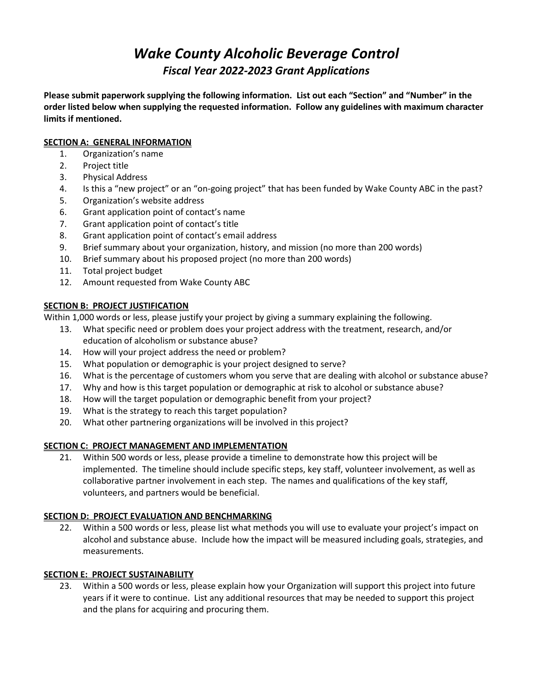# *Wake County Alcoholic Beverage Control Fiscal Year 2022-2023 Grant Applications*

**Please submit paperwork supplying the following information. List out each "Section" and "Number" in the order listed below when supplying the requested information. Follow any guidelines with maximum character limits if mentioned.**

### **SECTION A: GENERAL INFORMATION**

- 1. Organization's name
- 2. Project title
- 3. Physical Address
- 4. Is this a "new project" or an "on-going project" that has been funded by Wake County ABC in the past?
- 5. Organization's website address
- 6. Grant application point of contact's name
- 7. Grant application point of contact's title
- 8. Grant application point of contact's email address
- 9. Brief summary about your organization, history, and mission (no more than 200 words)
- 10. Brief summary about his proposed project (no more than 200 words)
- 11. Total project budget
- 12. Amount requested from Wake County ABC

# **SECTION B: PROJECT JUSTIFICATION**

Within 1,000 words or less, please justify your project by giving a summary explaining the following.

- 13. What specific need or problem does your project address with the treatment, research, and/or education of alcoholism or substance abuse?
- 14. How will your project address the need or problem?
- 15. What population or demographic is your project designed to serve?
- 16. What is the percentage of customers whom you serve that are dealing with alcohol or substance abuse?
- 17. Why and how is this target population or demographic at risk to alcohol or substance abuse?
- 18. How will the target population or demographic benefit from your project?
- 19. What is the strategy to reach this target population?
- 20. What other partnering organizations will be involved in this project?

# **SECTION C: PROJECT MANAGEMENT AND IMPLEMENTATION**

21. Within 500 words or less, please provide a timeline to demonstrate how this project will be implemented. The timeline should include specific steps, key staff, volunteer involvement, as well as collaborative partner involvement in each step. The names and qualifications of the key staff, volunteers, and partners would be beneficial.

# **SECTION D: PROJECT EVALUATION AND BENCHMARKING**

22. Within a 500 words or less, please list what methods you will use to evaluate your project's impact on alcohol and substance abuse. Include how the impact will be measured including goals, strategies, and measurements.

# **SECTION E: PROJECT SUSTAINABILITY**

23. Within a 500 words or less, please explain how your Organization will support this project into future years if it were to continue. List any additional resources that may be needed to support this project and the plans for acquiring and procuring them.